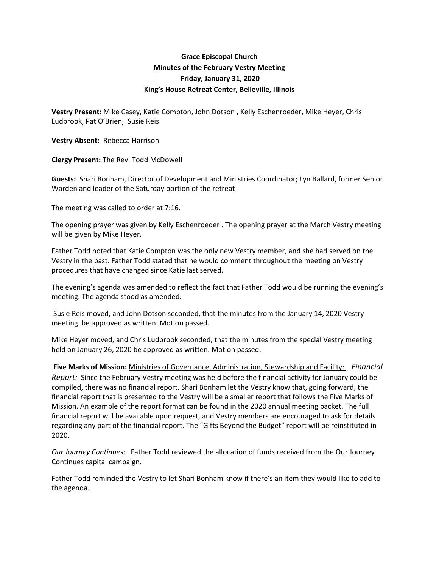## **Grace Episcopal Church Minutes of the February Vestry Meeting Friday, January 31, 2020 King's House Retreat Center, Belleville, Illinois**

**Vestry Present:** Mike Casey, Katie Compton, John Dotson , Kelly Eschenroeder, Mike Heyer, Chris Ludbrook, Pat O'Brien, Susie Reis

**Vestry Absent:** Rebecca Harrison

**Clergy Present:** The Rev. Todd McDowell

**Guests:** Shari Bonham, Director of Development and Ministries Coordinator; Lyn Ballard, former Senior Warden and leader of the Saturday portion of the retreat

The meeting was called to order at 7:16.

The opening prayer was given by Kelly Eschenroeder . The opening prayer at the March Vestry meeting will be given by Mike Heyer.

Father Todd noted that Katie Compton was the only new Vestry member, and she had served on the Vestry in the past. Father Todd stated that he would comment throughout the meeting on Vestry procedures that have changed since Katie last served.

The evening's agenda was amended to reflect the fact that Father Todd would be running the evening's meeting. The agenda stood as amended.

Susie Reis moved, and John Dotson seconded, that the minutes from the January 14, 2020 Vestry meeting be approved as written. Motion passed.

Mike Heyer moved, and Chris Ludbrook seconded, that the minutes from the special Vestry meeting held on January 26, 2020 be approved as written. Motion passed.

**Five Marks of Mission:** Ministries of Governance, Administration, Stewardship and Facility:  *Financial Report:* Since the February Vestry meeting was held before the financial activity for January could be compiled, there was no financial report. Shari Bonham let the Vestry know that, going forward, the financial report that is presented to the Vestry will be a smaller report that follows the Five Marks of Mission. An example of the report format can be found in the 2020 annual meeting packet. The full financial report will be available upon request, and Vestry members are encouraged to ask for details regarding any part of the financial report. The "Gifts Beyond the Budget" report will be reinstituted in 2020.

*Our Journey Continues:*  Father Todd reviewed the allocation of funds received from the Our Journey Continues capital campaign.

Father Todd reminded the Vestry to let Shari Bonham know if there's an item they would like to add to the agenda.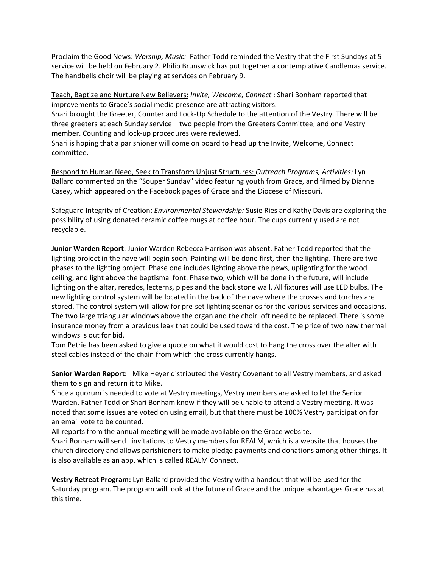Proclaim the Good News: *Worship, Music:* Father Todd reminded the Vestry that the First Sundays at 5 service will be held on February 2. Philip Brunswick has put together a contemplative Candlemas service. The handbells choir will be playing at services on February 9.

Teach, Baptize and Nurture New Believers: *Invite, Welcome, Connect* : Shari Bonham reported that improvements to Grace's social media presence are attracting visitors. Shari brought the Greeter, Counter and Lock‐Up Schedule to the attention of the Vestry. There will be three greeters at each Sunday service – two people from the Greeters Committee, and one Vestry member. Counting and lock‐up procedures were reviewed.

Shari is hoping that a parishioner will come on board to head up the Invite, Welcome, Connect committee.

Respond to Human Need, Seek to Transform Unjust Structures: *Outreach Programs, Activities:* Lyn Ballard commented on the "Souper Sunday" video featuring youth from Grace, and filmed by Dianne Casey, which appeared on the Facebook pages of Grace and the Diocese of Missouri.

Safeguard Integrity of Creation: *Environmental Stewardship:* Susie Ries and Kathy Davis are exploring the possibility of using donated ceramic coffee mugs at coffee hour. The cups currently used are not recyclable.

**Junior Warden Report**: Junior Warden Rebecca Harrison was absent. Father Todd reported that the lighting project in the nave will begin soon. Painting will be done first, then the lighting. There are two phases to the lighting project. Phase one includes lighting above the pews, uplighting for the wood ceiling, and light above the baptismal font. Phase two, which will be done in the future, will include lighting on the altar, reredos, lecterns, pipes and the back stone wall. All fixtures will use LED bulbs. The new lighting control system will be located in the back of the nave where the crosses and torches are stored. The control system will allow for pre‐set lighting scenarios for the various services and occasions. The two large triangular windows above the organ and the choir loft need to be replaced. There is some insurance money from a previous leak that could be used toward the cost. The price of two new thermal windows is out for bid.

Tom Petrie has been asked to give a quote on what it would cost to hang the cross over the alter with steel cables instead of the chain from which the cross currently hangs.

**Senior Warden Report:** Mike Heyer distributed the Vestry Covenant to all Vestry members, and asked them to sign and return it to Mike.

Since a quorum is needed to vote at Vestry meetings, Vestry members are asked to let the Senior Warden, Father Todd or Shari Bonham know if they will be unable to attend a Vestry meeting. It was noted that some issues are voted on using email, but that there must be 100% Vestry participation for an email vote to be counted.

All reports from the annual meeting will be made available on the Grace website.

Shari Bonham will send invitations to Vestry members for REALM, which is a website that houses the church directory and allows parishioners to make pledge payments and donations among other things. It is also available as an app, which is called REALM Connect.

**Vestry Retreat Program:** Lyn Ballard provided the Vestry with a handout that will be used for the Saturday program. The program will look at the future of Grace and the unique advantages Grace has at this time.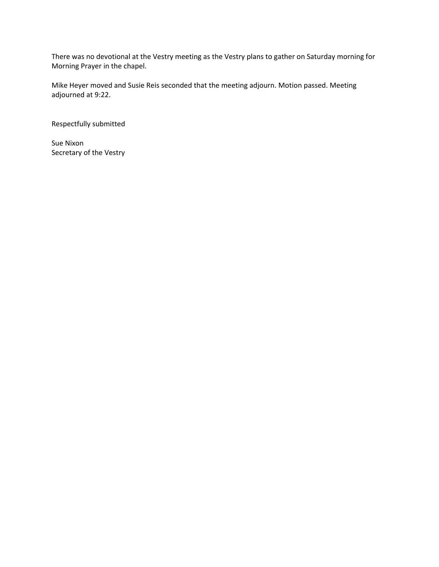There was no devotional at the Vestry meeting as the Vestry plans to gather on Saturday morning for Morning Prayer in the chapel.

Mike Heyer moved and Susie Reis seconded that the meeting adjourn. Motion passed. Meeting adjourned at 9:22.

Respectfully submitted

Sue Nixon Secretary of the Vestry